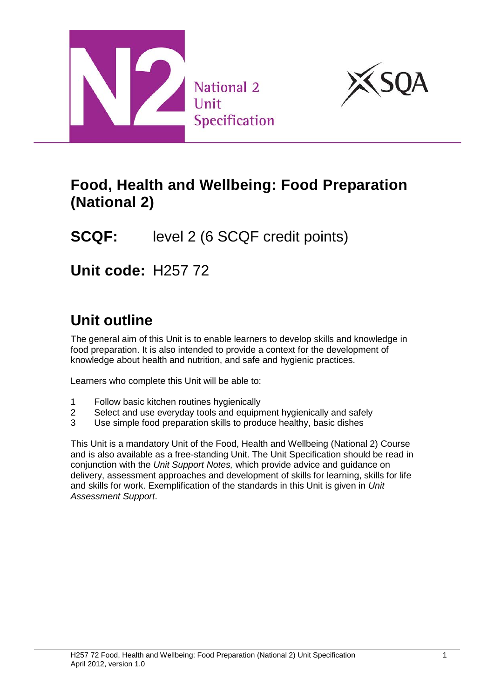



## **Food, Health and Wellbeing: Food Preparation (National 2)**

# **SCQF:** level 2 (6 SCQF credit points)

**Unit code:** H257 72

# **Unit outline**

The general aim of this Unit is to enable learners to develop skills and knowledge in food preparation. It is also intended to provide a context for the development of knowledge about health and nutrition, and safe and hygienic practices.

Learners who complete this Unit will be able to:

- 1 Follow basic kitchen routines hygienically
- 2 Select and use everyday tools and equipment hygienically and safely
- 3 Use simple food preparation skills to produce healthy, basic dishes

This Unit is a mandatory Unit of the Food, Health and Wellbeing (National 2) Course and is also available as a free-standing Unit. The Unit Specification should be read in conjunction with the *Unit Support Notes,* which provide advice and guidance on delivery, assessment approaches and development of skills for learning, skills for life and skills for work. Exemplification of the standards in this Unit is given in *Unit Assessment Support*.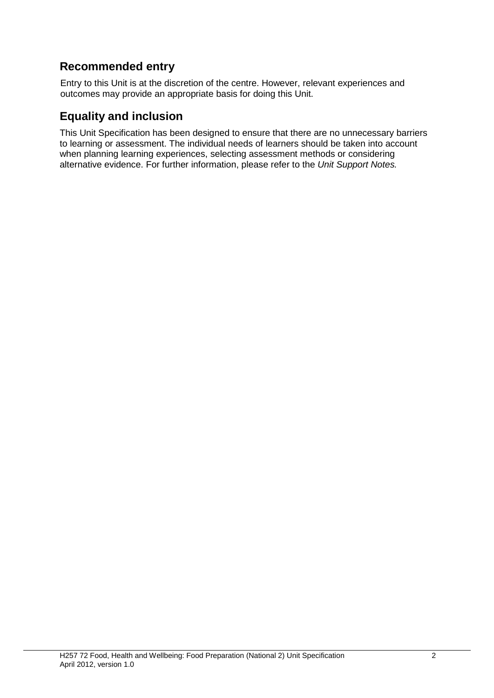#### **Recommended entry**

Entry to this Unit is at the discretion of the centre. However, relevant experiences and outcomes may provide an appropriate basis for doing this Unit.

#### **Equality and inclusion**

This Unit Specification has been designed to ensure that there are no unnecessary barriers to learning or assessment. The individual needs of learners should be taken into account when planning learning experiences, selecting assessment methods or considering alternative evidence. For further information, please refer to the *Unit Support Notes.*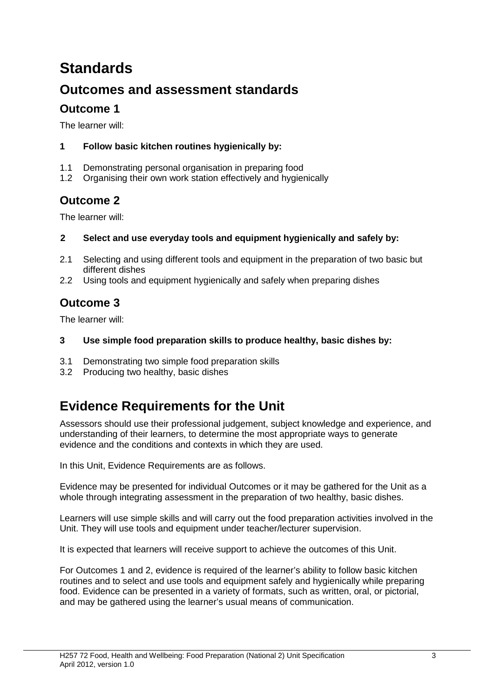# **Standards**

### **Outcomes and assessment standards**

### **Outcome 1**

The learner will:

#### **1 Follow basic kitchen routines hygienically by:**

- 1.1 Demonstrating personal organisation in preparing food
- 1.2 Organising their own work station effectively and hygienically

#### **Outcome 2**

The learner will:

- **2 Select and use everyday tools and equipment hygienically and safely by:**
- 2.1 Selecting and using different tools and equipment in the preparation of two basic but different dishes
- 2.2 Using tools and equipment hygienically and safely when preparing dishes

#### **Outcome 3**

The learner will:

- **3 Use simple food preparation skills to produce healthy, basic dishes by:**
- 3.1 Demonstrating two simple food preparation skills
- 3.2 Producing two healthy, basic dishes

## **Evidence Requirements for the Unit**

Assessors should use their professional judgement, subject knowledge and experience, and understanding of their learners, to determine the most appropriate ways to generate evidence and the conditions and contexts in which they are used.

In this Unit, Evidence Requirements are as follows.

Evidence may be presented for individual Outcomes or it may be gathered for the Unit as a whole through integrating assessment in the preparation of two healthy, basic dishes.

Learners will use simple skills and will carry out the food preparation activities involved in the Unit. They will use tools and equipment under teacher/lecturer supervision.

It is expected that learners will receive support to achieve the outcomes of this Unit.

For Outcomes 1 and 2, evidence is required of the learner's ability to follow basic kitchen routines and to select and use tools and equipment safely and hygienically while preparing food. Evidence can be presented in a variety of formats, such as written, oral, or pictorial, and may be gathered using the learner's usual means of communication.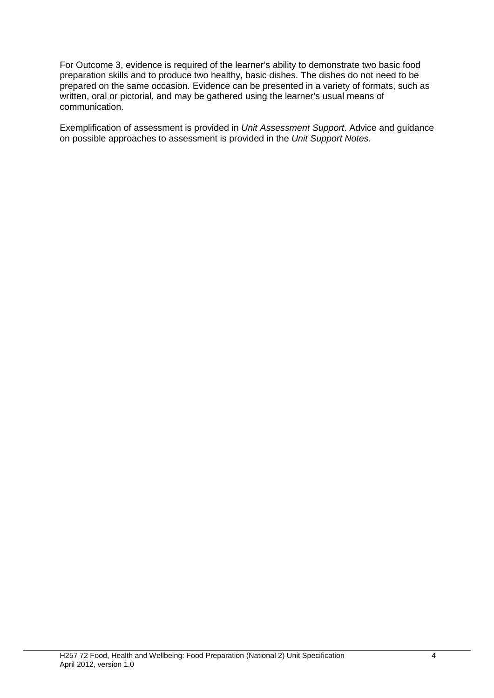For Outcome 3, evidence is required of the learner's ability to demonstrate two basic food preparation skills and to produce two healthy, basic dishes. The dishes do not need to be prepared on the same occasion. Evidence can be presented in a variety of formats, such as written, oral or pictorial, and may be gathered using the learner's usual means of communication.

Exemplification of assessment is provided in *Unit Assessment Support*. Advice and guidance on possible approaches to assessment is provided in the *Unit Support Notes.*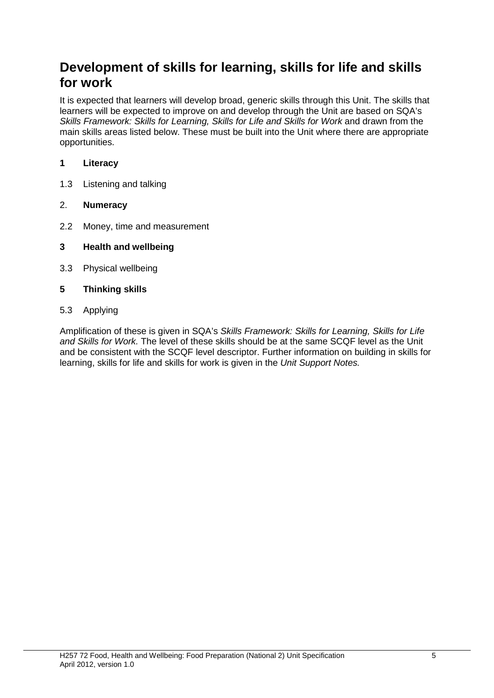### **Development of skills for learning, skills for life and skills for work**

It is expected that learners will develop broad, generic skills through this Unit. The skills that learners will be expected to improve on and develop through the Unit are based on SQA's *Skills Framework: Skills for Learning, Skills for Life and Skills for Work and drawn from the* main skills areas listed below. These must be built into the Unit where there are appropriate opportunities.

#### **1 Literacy**

1.3 Listening and talking

#### 2. **Numeracy**

- 2.2 Money, time and measurement
- **3 Health and wellbeing**
- 3.3 Physical wellbeing
- **5 Thinking skills**
- 5.3 Applying

Amplification of these is given in SQA's *Skills Framework: Skills for Learning, Skills for Life and Skills for Work.* The level of these skills should be at the same SCQF level as the Unit and be consistent with the SCQF level descriptor. Further information on building in skills for learning, skills for life and skills for work is given in the *Unit Support Notes.*